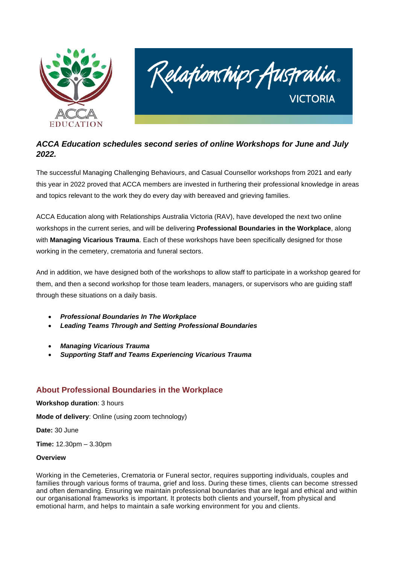



# *ACCA Education schedules second series of online Workshops for June and July 2022.*

The successful Managing Challenging Behaviours, and Casual Counsellor workshops from 2021 and early this year in 2022 proved that ACCA members are invested in furthering their professional knowledge in areas and topics relevant to the work they do every day with bereaved and grieving families.

ACCA Education along with Relationships Australia Victoria (RAV), have developed the next two online workshops in the current series, and will be delivering **Professional Boundaries in the Workplace**, along with **Managing Vicarious Trauma**. Each of these workshops have been specifically designed for those working in the cemetery, crematoria and funeral sectors.

And in addition, we have designed both of the workshops to allow staff to participate in a workshop geared for them, and then a second workshop for those team leaders, managers, or supervisors who are guiding staff through these situations on a daily basis.

- *Professional Boundaries In The Workplace*
- *Leading Teams Through and Setting Professional Boundaries*
- *Managing Vicarious Trauma*
- *Supporting Staff and Teams Experiencing Vicarious Trauma*

# **About Professional Boundaries in the Workplace**

### **Workshop duration**: 3 hours

**Mode of delivery**: Online (using zoom technology)

**Date:** 30 June

**Time:** 12.30pm – 3.30pm

### **Overview**

Working in the Cemeteries, Crematoria or Funeral sector, requires supporting individuals, couples and families through various forms of trauma, grief and loss. During these times, clients can become stressed and often demanding. Ensuring we maintain professional boundaries that are legal and ethical and within our organisational frameworks is important. It protects both clients and yourself, from physical and emotional harm, and helps to maintain a safe working environment for you and clients.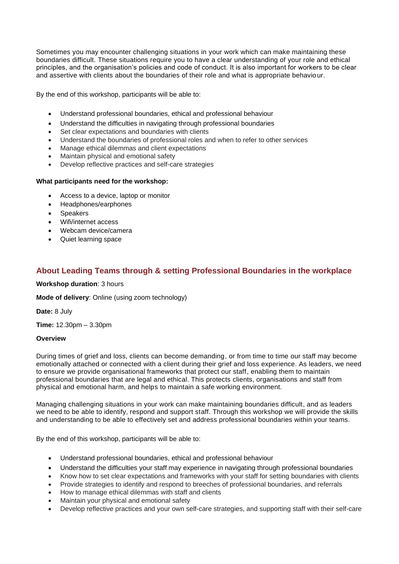Sometimes you may encounter challenging situations in your work which can make maintaining these boundaries difficult. These situations require you to have a clear understanding of your role and ethical principles, and the organisation's policies and code of conduct. It is also important for workers to be clear and assertive with clients about the boundaries of their role and what is appropriate behavio ur.

By the end of this workshop, participants will be able to:

- Understand professional boundaries, ethical and professional behaviour
- Understand the difficulties in navigating through professional boundaries
- Set clear expectations and boundaries with clients
- Understand the boundaries of professional roles and when to refer to other services
- Manage ethical dilemmas and client expectations
- Maintain physical and emotional safety
- Develop reflective practices and self-care strategies

### **What participants need for the workshop:**

- Access to a device, laptop or monitor
- Headphones/earphones
- **Speakers**
- Wifi/internet access
- Webcam device/camera
- Quiet learning space

## **About Leading Teams through & setting Professional Boundaries in the workplace**

**Workshop duration**: 3 hours

**Mode of delivery**: Online (using zoom technology)

**Date:** 8 July

**Time:** 12.30pm – 3.30pm

### **Overview**

During times of grief and loss, clients can become demanding, or from time to time our staff may become emotionally attached or connected with a client during their grief and loss experience. As leaders, we need to ensure we provide organisational frameworks that protect our staff, enabling them to maintain professional boundaries that are legal and ethical. This protects clients, organisations and staff from physical and emotional harm, and helps to maintain a safe working environment.

Managing challenging situations in your work can make maintaining boundaries difficult, and as leaders we need to be able to identify, respond and support staff. Through this workshop we will provide the skills and understanding to be able to effectively set and address professional boundaries within your teams.

By the end of this workshop, participants will be able to:

- Understand professional boundaries, ethical and professional behaviour
- Understand the difficulties your staff may experience in navigating through professional boundaries
- Know how to set clear expectations and frameworks with your staff for setting boundaries with clients
- Provide strategies to identify and respond to breeches of professional boundaries, and referrals
- How to manage ethical dilemmas with staff and clients
- Maintain your physical and emotional safety
- Develop reflective practices and your own self-care strategies, and supporting staff with their self-care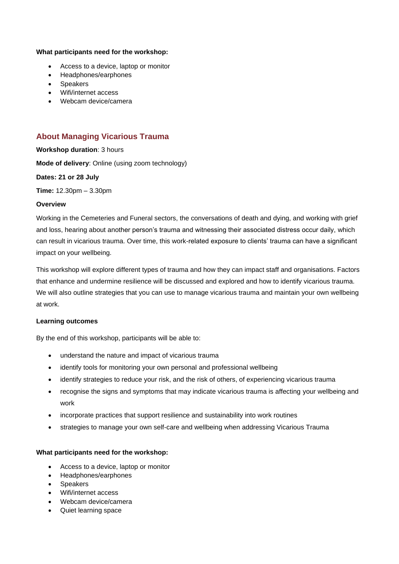### **What participants need for the workshop:**

- Access to a device, laptop or monitor
- Headphones/earphones
- Speakers
- Wifi/internet access
- Webcam device/camera

## **About Managing Vicarious Trauma**

**Workshop duration**: 3 hours

**Mode of delivery**: Online (using zoom technology)

**Dates: 21 or 28 July**

**Time:** 12.30pm – 3.30pm

### **Overview**

Working in the Cemeteries and Funeral sectors, the conversations of death and dying, and working with grief and loss, hearing about another person's trauma and witnessing their associated distress occur daily, which can result in vicarious trauma. Over time, this work-related exposure to clients' trauma can have a significant impact on your wellbeing.

This workshop will explore different types of trauma and how they can impact staff and organisations. Factors that enhance and undermine resilience will be discussed and explored and how to identify vicarious trauma. We will also outline strategies that you can use to manage vicarious trauma and maintain your own wellbeing at work.

#### **Learning outcomes**

By the end of this workshop, participants will be able to:

- understand the nature and impact of vicarious trauma
- identify tools for monitoring your own personal and professional wellbeing
- identify strategies to reduce your risk, and the risk of others, of experiencing vicarious trauma
- recognise the signs and symptoms that may indicate vicarious trauma is affecting your wellbeing and work
- incorporate practices that support resilience and sustainability into work routines
- strategies to manage your own self-care and wellbeing when addressing Vicarious Trauma

### **What participants need for the workshop:**

- Access to a device, laptop or monitor
- Headphones/earphones
- Speakers
- Wifi/internet access
- Webcam device/camera
- Quiet learning space